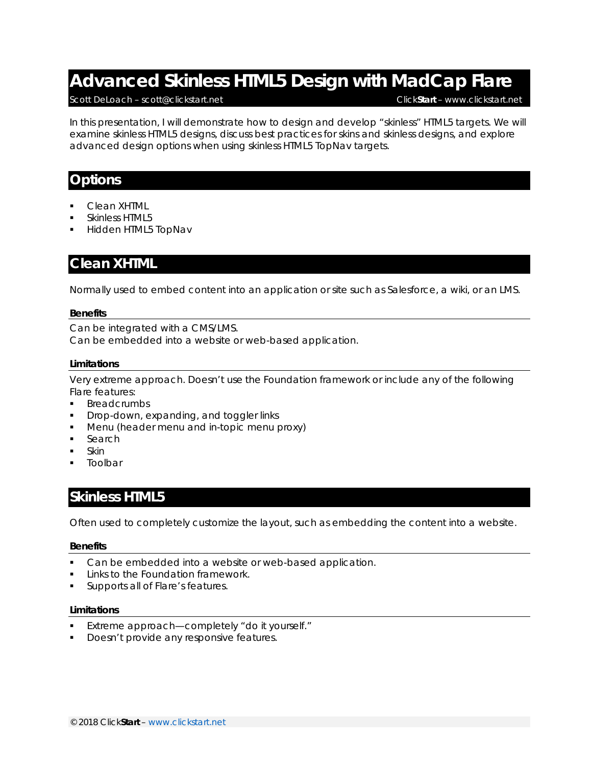# **Advanced Skinless HTML5 Design with MadCap Flare**

#### Scott DeLoach – scott@clickstart.net Click**Start** – www.clickstart.net

In this presentation, I will demonstrate how to design and develop "skinless" HTML5 targets. We will examine skinless HTML5 designs, discuss best practices for skins and skinless designs, and explore advanced design options when using skinless HTML5 TopNav targets.

## **Options**

- Clean XHTML
- Skinless HTML5
- Hidden HTML5 TopNav

## **Clean XHTML**

Normally used to embed content into an application or site such as Salesforce, a wiki, or an LMS.

#### **Benefits**

Can be integrated with a CMS/LMS. Can be embedded into a website or web-based application.

#### **Limitations**

Very extreme approach. Doesn't use the Foundation framework or include any of the following Flare features:

- **Breadcrumbs**
- **Drop-down, expanding, and toggler links**
- **Menu (header menu and in-topic menu proxy)**
- **Search**
- **Skin**
- Toolbar

## **Skinless HTML5**

Often used to completely customize the layout, such as embedding the content into a website.

#### **Benefits**

- Can be embedded into a website or web-based application.
- Links to the Foundation framework.
- Supports all of Flare's features.

#### **Limitations**

- Extreme approach—completely "do it yourself."
- Doesn't provide any responsive features.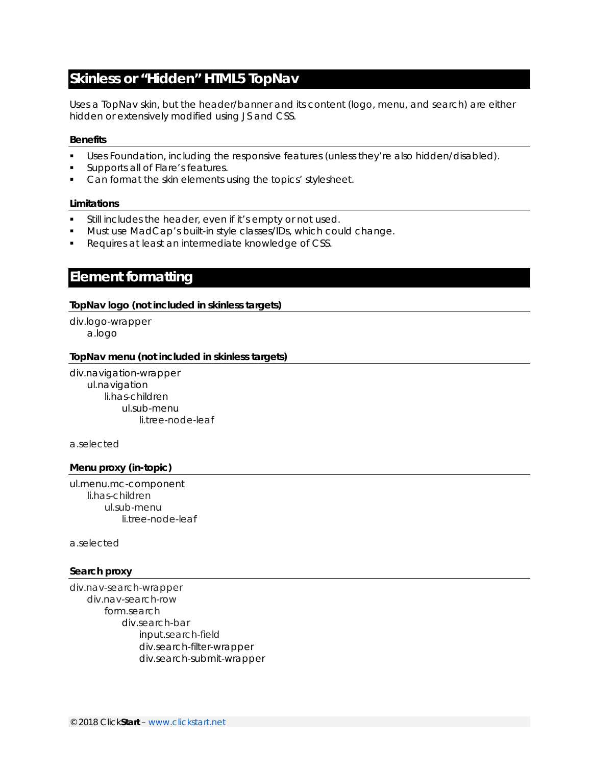# **Skinless or "Hidden" HTML5 TopNav**

Uses a TopNav skin, but the header/banner and its content (logo, menu, and search) are either hidden or extensively modified using JS and CSS.

#### **Benefits**

- Uses Foundation, including the responsive features (unless they're also hidden/disabled).
- Supports all of Flare's features.
- Can format the skin elements using the topics' stylesheet.

#### **Limitations**

- Still includes the header, even if it's empty or not used.
- **Must use MadCap's built-in style classes/IDs, which could change.**
- Requires at least an intermediate knowledge of CSS.

## **Element formatting**

### **TopNav logo (not included in skinless targets)**

div.logo-wrapper a.logo

#### **TopNav menu (not included in skinless targets)**

div.navigation-wrapper ul.navigation li.has-children ul.sub-menu li.tree-node-leaf

a.selected

#### **Menu proxy (in-topic)**

ul.menu.mc-component li.has-children ul.sub-menu li.tree-node-leaf

a.selected

#### **Search proxy**

div.nav-search-wrapper div.nav-search-row form.search div.search-bar input.search-field div.search-filter-wrapper div.search-submit-wrapper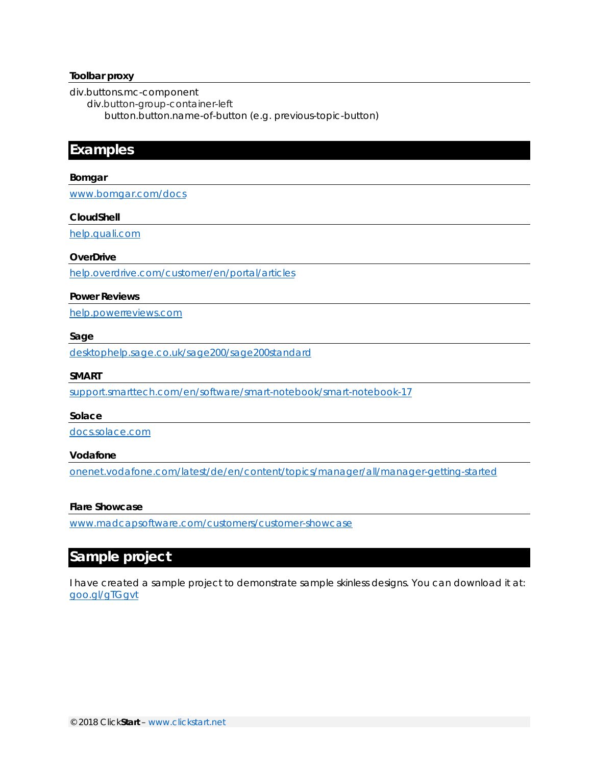#### **Toolbar proxy**

div.buttons.mc-component

div.button-group-container-left

button.button.*name-of-button* (e.g. previous-topic-button)

## **Examples**

#### **Bomgar**

www.bomgar.com/docs

#### **CloudShell**

help.quali.com

#### **OverDrive**

help.overdrive.com/customer/en/portal/articles

#### **Power Reviews**

help.powerreviews.com

#### **Sage**

desktophelp.sage.co.uk/sage200/sage200standard

#### **SMART**

support.smarttech.com/en/software/smart-notebook/smart-notebook-17

#### **Solace**

docs.solace.com

#### **Vodafone**

onenet.vodafone.com/latest/de/en/content/topics/manager/all/manager-getting-started

#### **Flare Showcase**

www.madcapsoftware.com/customers/customer-showcase

## **Sample project**

I have created a sample project to demonstrate sample skinless designs. You can download it at: goo.gl/gTGgvt